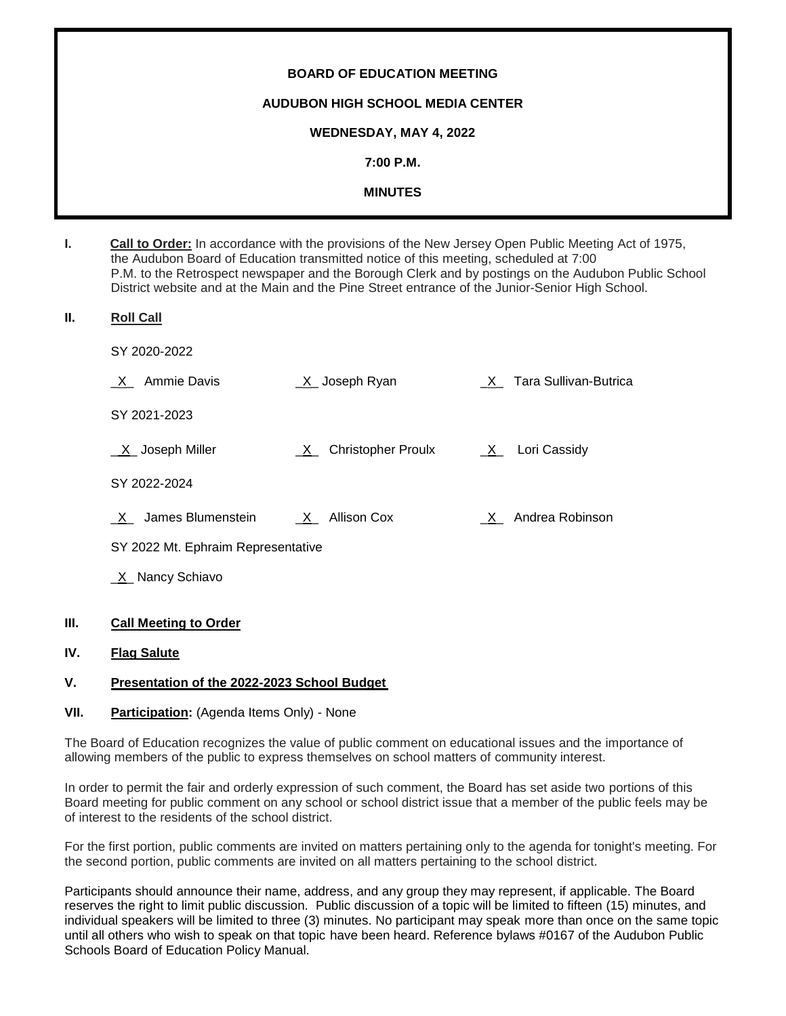# **BOARD OF EDUCATION MEETING AUDUBON HIGH SCHOOL MEDIA CENTER WEDNESDAY, MAY 4, 2022 7:00 P.M. MINUTES**

| ь. | <b>Call to Order:</b> In accordance with the provisions of the New Jersey Open Public Meeting Act of 1975, |
|----|------------------------------------------------------------------------------------------------------------|
|    | the Audubon Board of Education transmitted notice of this meeting, scheduled at 7:00                       |
|    | P.M. to the Retrospect newspaper and the Borough Clerk and by postings on the Audubon Public School        |
|    | District website and at the Main and the Pine Street entrance of the Junior-Senior High School.            |

- **II. Roll Call**
	- SY 2020-2022

| Ammie Davis<br>$\mathsf{X}$       | <u>_X</u> _ Joseph Ryan | X Tara Sullivan-Butrica |
|-----------------------------------|-------------------------|-------------------------|
| SY 2021-2023                      |                         |                         |
| $X$ Joseph Miller                 | X Christopher Proulx    | $X_$ Lori Cassidy       |
| SY 2022-2024                      |                         |                         |
| James Blumenstein<br>$\mathsf{X}$ | X Allison Cox           | X Andrea Robinson       |
|                                   |                         |                         |

SY 2022 Mt. Ephraim Representative

X Nancy Schiavo

# **III. Call Meeting to Order**

# **IV. Flag Salute**

# **V. Presentation of the 2022-2023 School Budget**

# **VII.** Participation: (Agenda Items Only) - None

The Board of Education recognizes the value of public comment on educational issues and the importance of allowing members of the public to express themselves on school matters of community interest.

In order to permit the fair and orderly expression of such comment, the Board has set aside two portions of this Board meeting for public comment on any school or school district issue that a member of the public feels may be of interest to the residents of the school district.

For the first portion, public comments are invited on matters pertaining only to the agenda for tonight's meeting. For the second portion, public comments are invited on all matters pertaining to the school district.

Participants should announce their name, address, and any group they may represent, if applicable. The Board reserves the right to limit public discussion. Public discussion of a topic will be limited to fifteen (15) minutes, and individual speakers will be limited to three (3) minutes. No participant may speak more than once on the same topic until all others who wish to speak on that topic have been heard. Reference bylaws #0167 of the Audubon Public Schools Board of Education Policy Manual.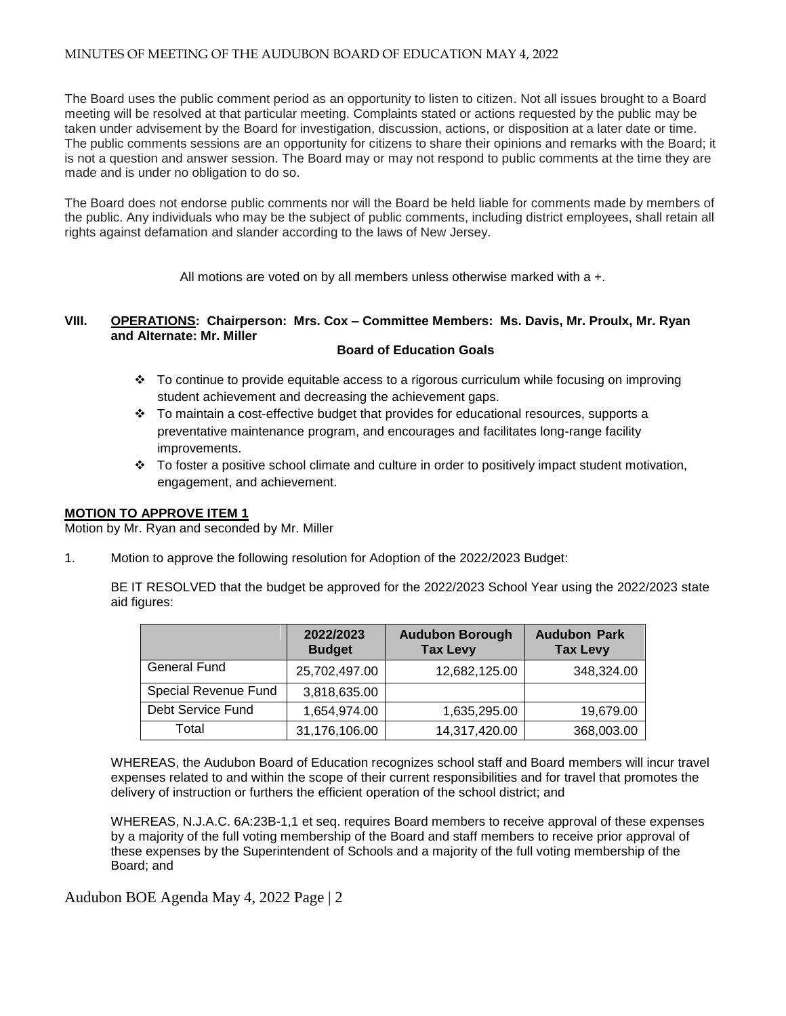The Board uses the public comment period as an opportunity to listen to citizen. Not all issues brought to a Board meeting will be resolved at that particular meeting. Complaints stated or actions requested by the public may be taken under advisement by the Board for investigation, discussion, actions, or disposition at a later date or time. The public comments sessions are an opportunity for citizens to share their opinions and remarks with the Board; it is not a question and answer session. The Board may or may not respond to public comments at the time they are made and is under no obligation to do so.

The Board does not endorse public comments nor will the Board be held liable for comments made by members of the public. Any individuals who may be the subject of public comments, including district employees, shall retain all rights against defamation and slander according to the laws of New Jersey.

All motions are voted on by all members unless otherwise marked with a +.

# **VIII. OPERATIONS: Chairperson: Mrs. Cox – Committee Members: Ms. Davis, Mr. Proulx, Mr. Ryan and Alternate: Mr. Miller**

#### **Board of Education Goals**

- To continue to provide equitable access to a rigorous curriculum while focusing on improving student achievement and decreasing the achievement gaps.
- $\div$  To maintain a cost-effective budget that provides for educational resources, supports a preventative maintenance program, and encourages and facilitates long-range facility improvements.
- $\div$  To foster a positive school climate and culture in order to positively impact student motivation, engagement, and achievement.

### **MOTION TO APPROVE ITEM 1**

Motion by Mr. Ryan and seconded by Mr. Miller

1. Motion to approve the following resolution for Adoption of the 2022/2023 Budget:

BE IT RESOLVED that the budget be approved for the 2022/2023 School Year using the 2022/2023 state aid figures:

|                      | 2022/2023<br><b>Budget</b> | <b>Audubon Borough</b><br><b>Tax Levy</b> | <b>Audubon Park</b><br><b>Tax Levy</b> |
|----------------------|----------------------------|-------------------------------------------|----------------------------------------|
| <b>General Fund</b>  | 25,702,497.00              | 12,682,125.00                             | 348,324.00                             |
| Special Revenue Fund | 3,818,635.00               |                                           |                                        |
| Debt Service Fund    | 1,654,974.00               | 1,635,295.00                              | 19,679.00                              |
| Total                | 31,176,106.00              | 14,317,420.00                             | 368,003.00                             |

WHEREAS, the Audubon Board of Education recognizes school staff and Board members will incur travel expenses related to and within the scope of their current responsibilities and for travel that promotes the delivery of instruction or furthers the efficient operation of the school district; and

WHEREAS, N.J.A.C. 6A:23B-1,1 et seq. requires Board members to receive approval of these expenses by a majority of the full voting membership of the Board and staff members to receive prior approval of these expenses by the Superintendent of Schools and a majority of the full voting membership of the Board; and

Audubon BOE Agenda May 4, 2022 Page | 2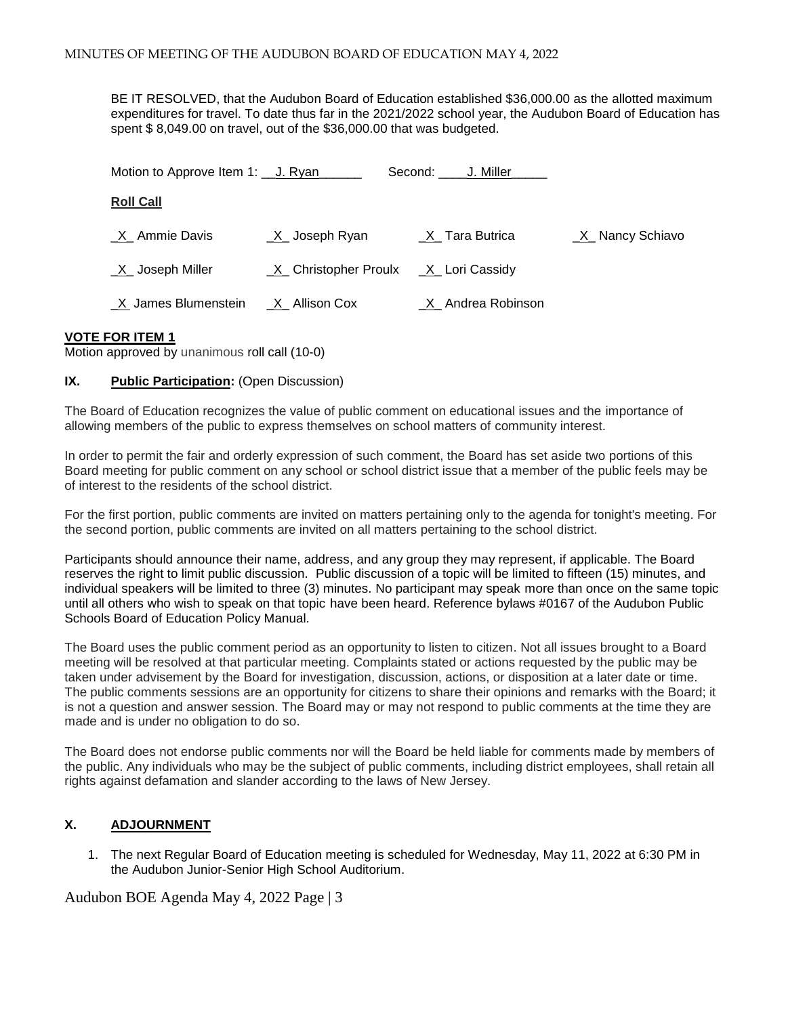BE IT RESOLVED, that the Audubon Board of Education established \$36,000.00 as the allotted maximum expenditures for travel. To date thus far in the 2021/2022 school year, the Audubon Board of Education has spent \$ 8,049.00 on travel, out of the \$36,000.00 that was budgeted.

| Motion to Approve Item 1: U. Ryan |                        | Second: J. Miller                       |                   |
|-----------------------------------|------------------------|-----------------------------------------|-------------------|
| <b>Roll Call</b>                  |                        |                                         |                   |
| _X_ Ammie Davis                   | $X$ Joseph Ryan        | X Tara Butrica                          | _X_ Nancy Schiavo |
| X Joseph Miller                   |                        | $X$ Christopher Proulx $X$ Lori Cassidy |                   |
| X James Blumenstein               | <u>_X_</u> Allison Cox | X Andrea Robinson                       |                   |

#### **VOTE FOR ITEM 1**

Motion approved by unanimous roll call (10-0)

# **IX.** Public Participation: (Open Discussion)

The Board of Education recognizes the value of public comment on educational issues and the importance of allowing members of the public to express themselves on school matters of community interest.

In order to permit the fair and orderly expression of such comment, the Board has set aside two portions of this Board meeting for public comment on any school or school district issue that a member of the public feels may be of interest to the residents of the school district.

For the first portion, public comments are invited on matters pertaining only to the agenda for tonight's meeting. For the second portion, public comments are invited on all matters pertaining to the school district.

Participants should announce their name, address, and any group they may represent, if applicable. The Board reserves the right to limit public discussion. Public discussion of a topic will be limited to fifteen (15) minutes, and individual speakers will be limited to three (3) minutes. No participant may speak more than once on the same topic until all others who wish to speak on that topic have been heard. Reference bylaws #0167 of the Audubon Public Schools Board of Education Policy Manual.

The Board uses the public comment period as an opportunity to listen to citizen. Not all issues brought to a Board meeting will be resolved at that particular meeting. Complaints stated or actions requested by the public may be taken under advisement by the Board for investigation, discussion, actions, or disposition at a later date or time. The public comments sessions are an opportunity for citizens to share their opinions and remarks with the Board; it is not a question and answer session. The Board may or may not respond to public comments at the time they are made and is under no obligation to do so.

The Board does not endorse public comments nor will the Board be held liable for comments made by members of the public. Any individuals who may be the subject of public comments, including district employees, shall retain all rights against defamation and slander according to the laws of New Jersey.

# **X. ADJOURNMENT**

1. The next Regular Board of Education meeting is scheduled for Wednesday, May 11, 2022 at 6:30 PM in the Audubon Junior-Senior High School Auditorium.

Audubon BOE Agenda May 4, 2022 Page | 3